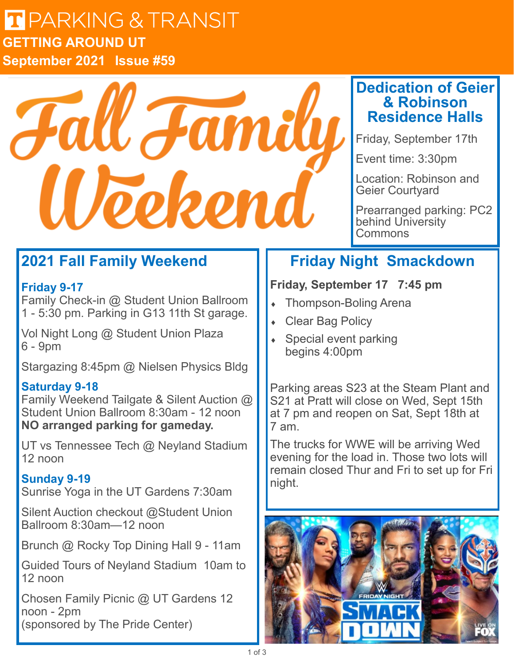### $F = \sqrt{N}$ **LI** PARKIN **Issue 44 GETTING AROUND UT September 2021 Issue #59**



### **Dedication of Geier & Robinson Residence Halls**

Friday, September 17th

Event time: 3:30pm

Location: Robinson and Geier Courtyard

Prearranged parking: PC2 behind University **Commons** 

# **2021 Fall Family Weekend**

#### **Friday 9-17**

Family Check-in @ Student Union Ballroom 1 - 5:30 pm. Parking in G13 11th St garage.

Vol Night Long @ Student Union Plaza 6 - 9pm

Stargazing 8:45pm @ Nielsen Physics Bldg

### **Saturday 9-18**

Family Weekend Tailgate & Silent Auction @ Student Union Ballroom 8:30am - 12 noon **NO arranged parking for gameday.**

UT vs Tennessee Tech @ Neyland Stadium 12 noon

### **Sunday 9-19**

Sunrise Yoga in the UT Gardens 7:30am

Silent Auction checkout @Student Union Ballroom 8:30am—12 noon

Brunch @ Rocky Top Dining Hall 9 - 11am

Guided Tours of Neyland Stadium 10am to 12 noon

Chosen Family Picnic @ UT Gardens 12 noon - 2pm (sponsored by The Pride Center)

# **Friday Night Smackdown**

### **Friday, September 17 7:45 pm**

- Thompson-Boling Arena
- Clear Bag Policy
- Special event parking begins 4:00pm

Parking areas S23 at the Steam Plant and S21 at Pratt will close on Wed, Sept 15th at 7 pm and reopen on Sat, Sept 18th at 7 am.

The trucks for WWE will be arriving Wed evening for the load in. Those two lots will remain closed Thur and Fri to set up for Fri night.

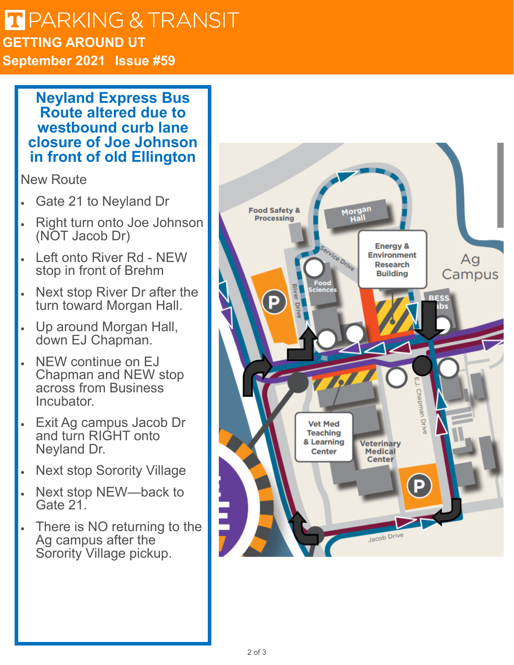### $F = \sqrt{N}$ **LI** PARKIN **Issue 44 GETTING AROUND UT September 2021 Issue #59**

**Neyland Express Bus Route altered due to westbound curb lane closure of Joe Johnson in front of old Ellington**

New Route

- Gate 21 to Neyland Dr
- Right turn onto Joe Johnson (NOT Jacob Dr)
- Left onto River Rd NEW stop in front of Brehm
- Next stop River Dr after the turn toward Morgan Hall.
- Up around Morgan Hall, down EJ Chapman.
- NEW continue on EJ Chapman and NEW stop across from Business **Incubator**
- Exit Ag campus Jacob Dr and turn RIGHT onto Neyland Dr.
- **Next stop Sorority Village**
- Next stop NEW-back to Gate 21.
- There is NO returning to the Ag campus after the Sorority Village pickup.